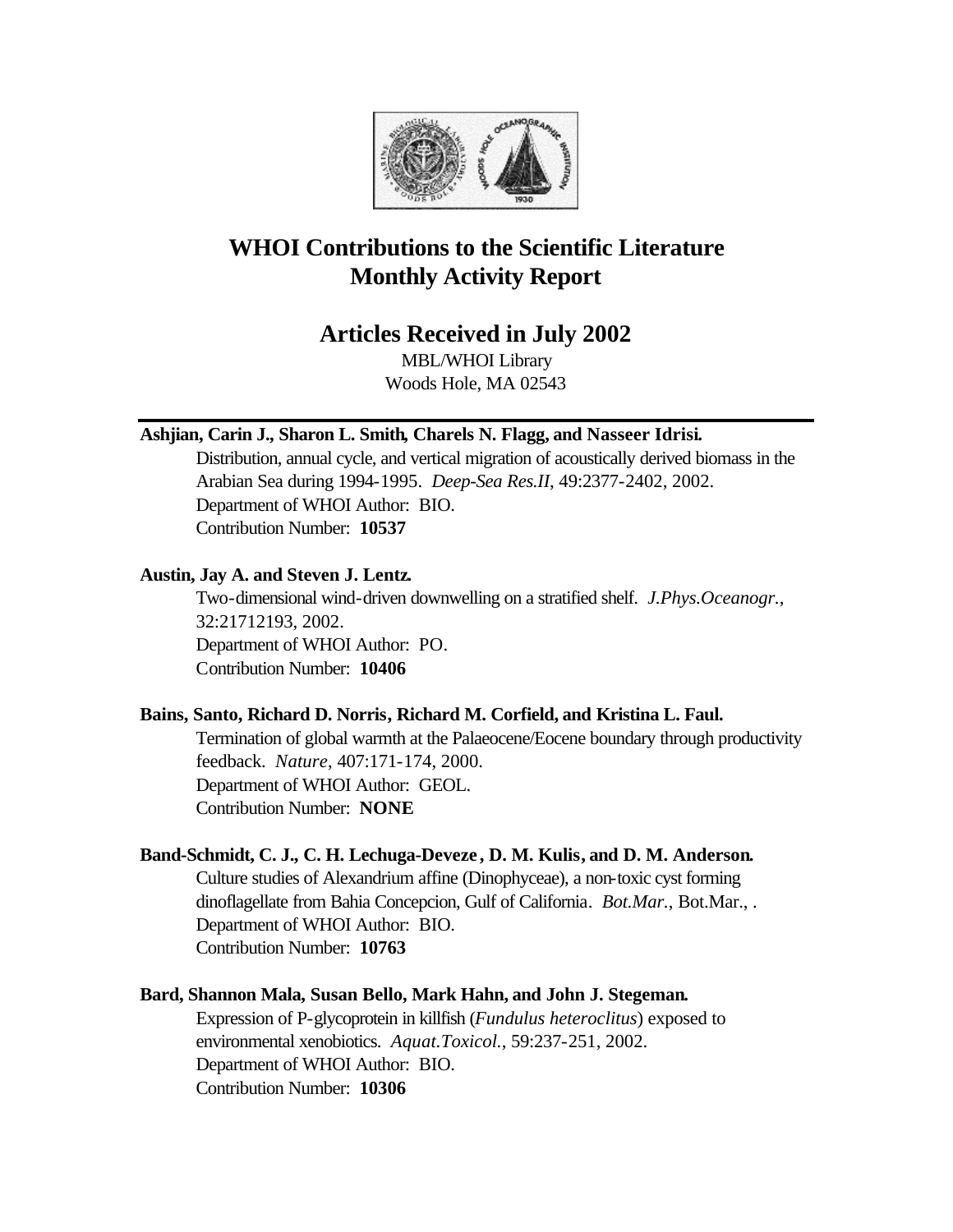

# **WHOI Contributions to the Scientific Literature Monthly Activity Report**

# **Articles Received in July 2002**

MBL/WHOI Library Woods Hole, MA 02543

### **Ashjian, Carin J., Sharon L. Smith, Charels N. Flagg, and Nasseer Idrisi.**

Distribution, annual cycle, and vertical migration of acoustically derived biomass in the Arabian Sea during 1994-1995. *Deep-Sea Res.II*, 49:2377-2402, 2002. Department of WHOI Author: BIO. Contribution Number: **10537**

### **Austin, Jay A. and Steven J. Lentz.**

Two-dimensional wind-driven downwelling on a stratified shelf. *J.Phys.Oceanogr.*, 32:21712193, 2002. Department of WHOI Author: PO. Contribution Number: **10406**

### **Bains, Santo, Richard D. Norris, Richard M. Corfield, and Kristina L. Faul.**

Termination of global warmth at the Palaeocene/Eocene boundary through productivity feedback. *Nature*, 407:171-174, 2000. Department of WHOI Author: GEOL. Contribution Number: **NONE**

### **Band-Schmidt, C. J., C. H. Lechuga-Deveze , D. M. Kulis, and D. M. Anderson.**

Culture studies of Alexandrium affine (Dinophyceae), a non-toxic cyst forming dinoflagellate from Bahia Concepcion, Gulf of California. *Bot.Mar.*, Bot.Mar., . Department of WHOI Author: BIO. Contribution Number: **10763**

### **Bard, Shannon Mala, Susan Bello, Mark Hahn, and John J. Stegeman.** Expression of P-glycoprotein in killfish (*Fundulus heteroclitus*) exposed to environmental xenobiotics. *Aquat.Toxicol.*, 59:237-251, 2002. Department of WHOI Author: BIO. Contribution Number: **10306**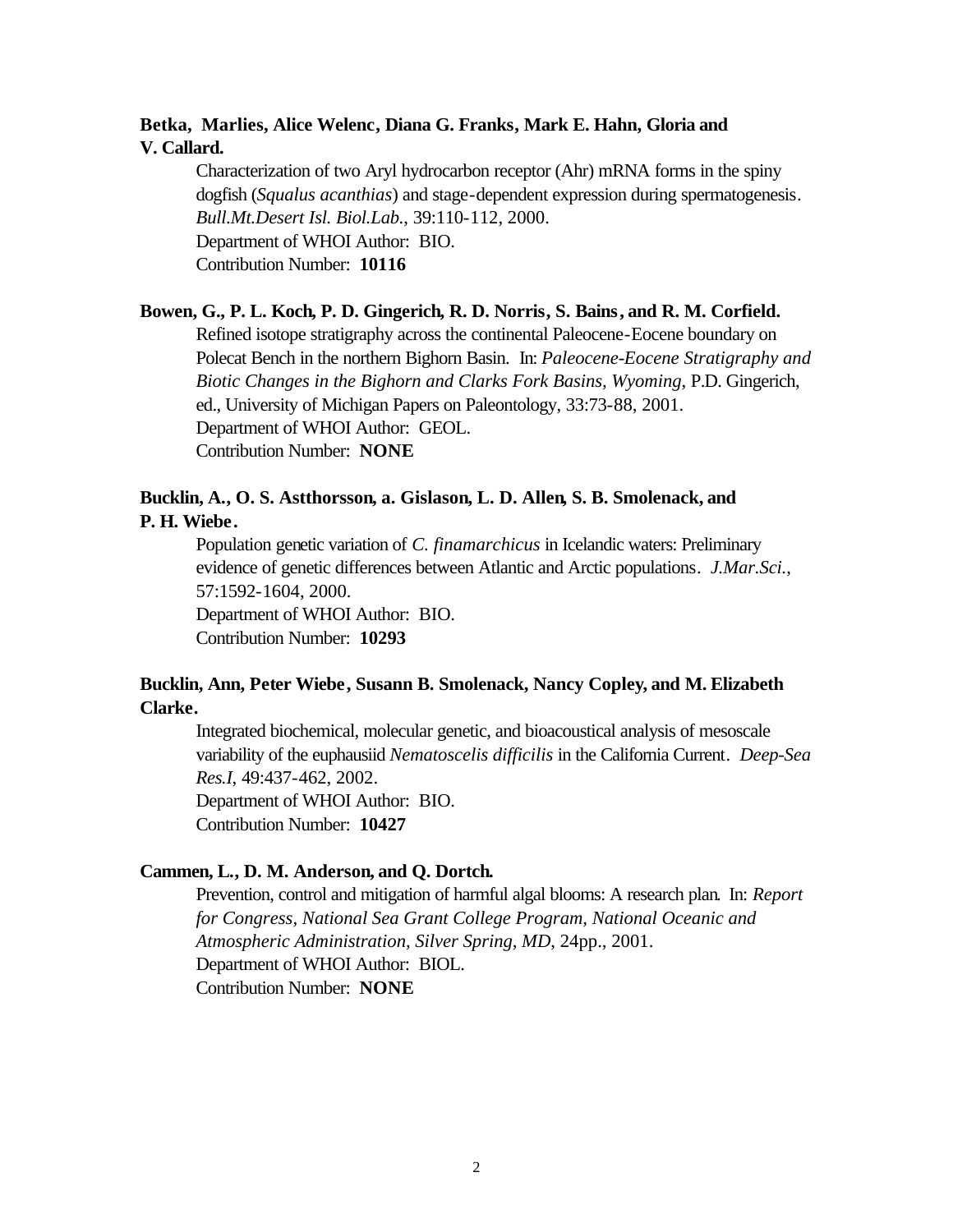### **Betka, Marlies, Alice Welenc, Diana G. Franks, Mark E. Hahn, Gloria and V. Callard.**

Characterization of two Aryl hydrocarbon receptor (Ahr) mRNA forms in the spiny dogfish (*Squalus acanthias*) and stage-dependent expression during spermatogenesis. *Bull.Mt.Desert Isl. Biol.Lab.*, 39:110-112, 2000. Department of WHOI Author: BIO. Contribution Number: **10116**

#### **Bowen, G., P. L. Koch, P. D. Gingerich, R. D. Norris, S. Bains, and R. M. Corfield.**

Refined isotope stratigraphy across the continental Paleocene-Eocene boundary on Polecat Bench in the northern Bighorn Basin. In: *Paleocene-Eocene Stratigraphy and Biotic Changes in the Bighorn and Clarks Fork Basins, Wyoming*, P.D. Gingerich, ed., University of Michigan Papers on Paleontology, 33:73-88, 2001. Department of WHOI Author: GEOL. Contribution Number: **NONE**

### **Bucklin, A., O. S. Astthorsson, a. Gislason, L. D. Allen, S. B. Smolenack, and P. H. Wiebe.**

Population genetic variation of *C. finamarchicus* in Icelandic waters: Preliminary evidence of genetic differences between Atlantic and Arctic populations. *J.Mar.Sci.*, 57:1592-1604, 2000.

Department of WHOI Author: BIO. Contribution Number: **10293**

### **Bucklin, Ann, Peter Wiebe, Susann B. Smolenack, Nancy Copley, and M. Elizabeth Clarke.**

Integrated biochemical, molecular genetic, and bioacoustical analysis of mesoscale variability of the euphausiid *Nematoscelis difficilis* in the California Current. *Deep-Sea Res.I*, 49:437-462, 2002. Department of WHOI Author: BIO. Contribution Number: **10427**

#### **Cammen, L., D. M. Anderson, and Q. Dortch.**

Prevention, control and mitigation of harmful algal blooms: A research plan. In: *Report for Congress, National Sea Grant College Program, National Oceanic and Atmospheric Administration, Silver Spring, MD*, 24pp., 2001. Department of WHOI Author: BIOL. Contribution Number: **NONE**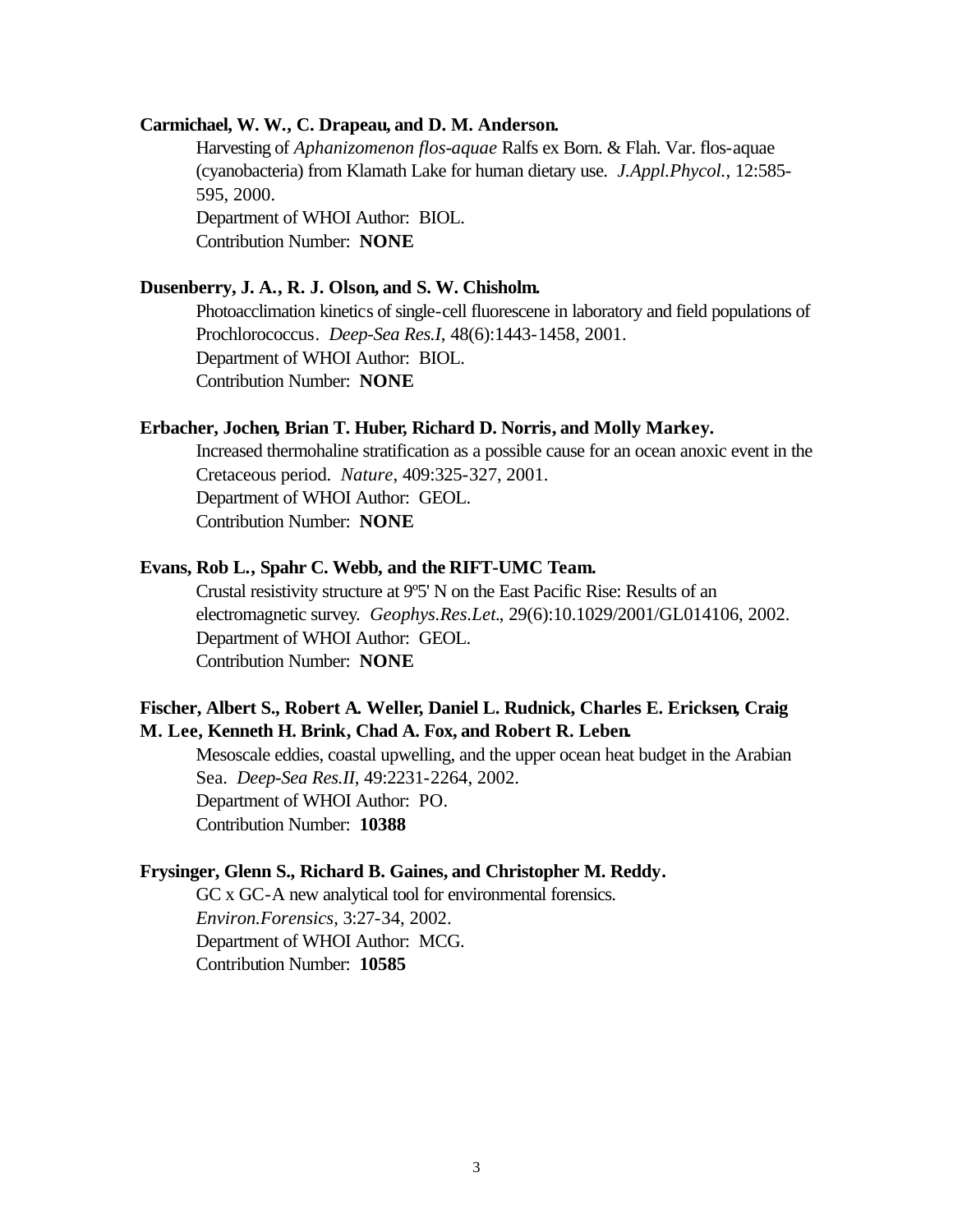#### **Carmichael, W. W., C. Drapeau, and D. M. Anderson.**

Harvesting of *Aphanizomenon flos-aquae* Ralfs ex Born. & Flah. Var. flos-aquae (cyanobacteria) from Klamath Lake for human dietary use. *J.Appl.Phycol.*, 12:585- 595, 2000. Department of WHOI Author: BIOL. Contribution Number: **NONE**

#### **Dusenberry, J. A., R. J. Olson, and S. W. Chisholm.**

Photoacclimation kinetics of single-cell fluorescene in laboratory and field populations of Prochlorococcus. *Deep-Sea Res.I*, 48(6):1443-1458, 2001. Department of WHOI Author: BIOL. Contribution Number: **NONE**

#### **Erbacher, Jochen, Brian T. Huber, Richard D. Norris, and Molly Markey.**

Increased thermohaline stratification as a possible cause for an ocean anoxic event in the Cretaceous period. *Nature*, 409:325-327, 2001. Department of WHOI Author: GEOL. Contribution Number: **NONE**

#### **Evans, Rob L., Spahr C. Webb, and the RIFT-UMC Team.**

Crustal resistivity structure at 9º5' N on the East Pacific Rise: Results of an electromagnetic survey. *Geophys.Res.Let.*, 29(6):10.1029/2001/GL014106, 2002. Department of WHOI Author: GEOL. Contribution Number: **NONE**

### **Fischer, Albert S., Robert A. Weller, Daniel L. Rudnick, Charles E. Ericksen, Craig M. Lee, Kenneth H. Brink, Chad A. Fox, and Robert R. Leben.**

Mesoscale eddies, coastal upwelling, and the upper ocean heat budget in the Arabian Sea. *Deep-Sea Res.II*, 49:2231-2264, 2002. Department of WHOI Author: PO. Contribution Number: **10388**

#### **Frysinger, Glenn S., Richard B. Gaines, and Christopher M. Reddy.**

GC x GC-A new analytical tool for environmental forensics. *Environ.Forensics*, 3:27-34, 2002. Department of WHOI Author: MCG. Contribution Number: **10585**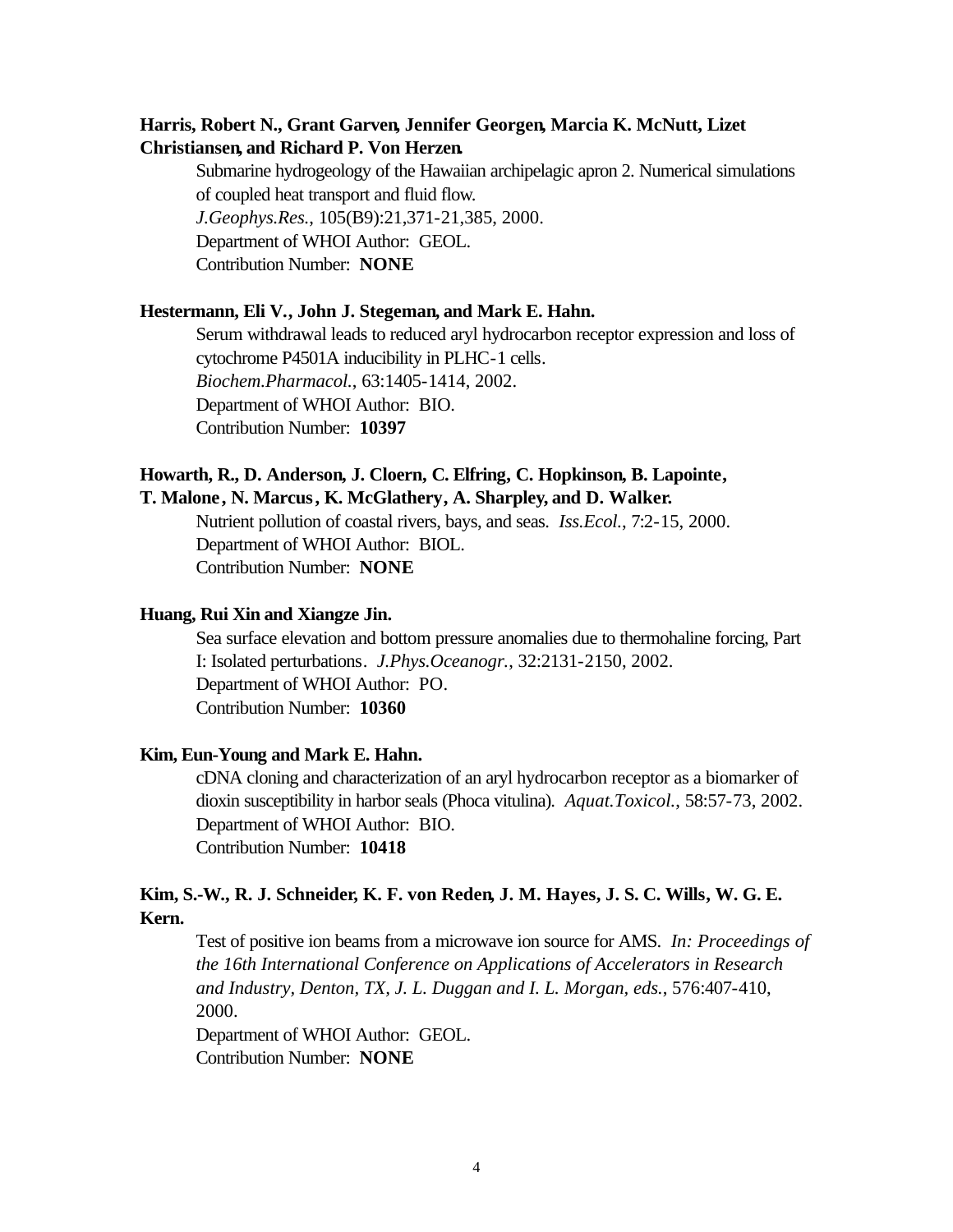### **Harris, Robert N., Grant Garven, Jennifer Georgen, Marcia K. McNutt, Lizet Christiansen, and Richard P. Von Herzen.**

Submarine hydrogeology of the Hawaiian archipelagic apron 2. Numerical simulations of coupled heat transport and fluid flow. *J.Geophys.Res.*, 105(B9):21,371-21,385, 2000. Department of WHOI Author: GEOL. Contribution Number: **NONE**

#### **Hestermann, Eli V., John J. Stegeman, and Mark E. Hahn.**

Serum withdrawal leads to reduced aryl hydrocarbon receptor expression and loss of cytochrome P4501A inducibility in PLHC-1 cells. *Biochem.Pharmacol.*, 63:1405-1414, 2002. Department of WHOI Author: BIO. Contribution Number: **10397**

#### **Howarth, R., D. Anderson, J. Cloern, C. Elfring, C. Hopkinson, B. Lapointe, T. Malone, N. Marcus, K. McGlathery, A. Sharpley, and D. Walker.**

Nutrient pollution of coastal rivers, bays, and seas. *Iss.Ecol.*, 7:2-15, 2000. Department of WHOI Author: BIOL. Contribution Number: **NONE**

#### **Huang, Rui Xin and Xiangze Jin.**

Sea surface elevation and bottom pressure anomalies due to thermohaline forcing, Part I: Isolated perturbations. *J.Phys.Oceanogr.*, 32:2131-2150, 2002. Department of WHOI Author: PO. Contribution Number: **10360**

#### **Kim, Eun-Young and Mark E. Hahn.**

cDNA cloning and characterization of an aryl hydrocarbon receptor as a biomarker of dioxin susceptibility in harbor seals (Phoca vitulina). *Aquat.Toxicol.*, 58:57-73, 2002. Department of WHOI Author: BIO. Contribution Number: **10418**

### **Kim, S.-W., R. J. Schneider, K. F. von Reden, J. M. Hayes, J. S. C. Wills, W. G. E. Kern.**

Test of positive ion beams from a microwave ion source for AMS. *In: Proceedings of the 16th International Conference on Applications of Accelerators in Research and Industry, Denton, TX, J. L. Duggan and I. L. Morgan, eds.*, 576:407-410, 2000.

Department of WHOI Author: GEOL. Contribution Number: **NONE**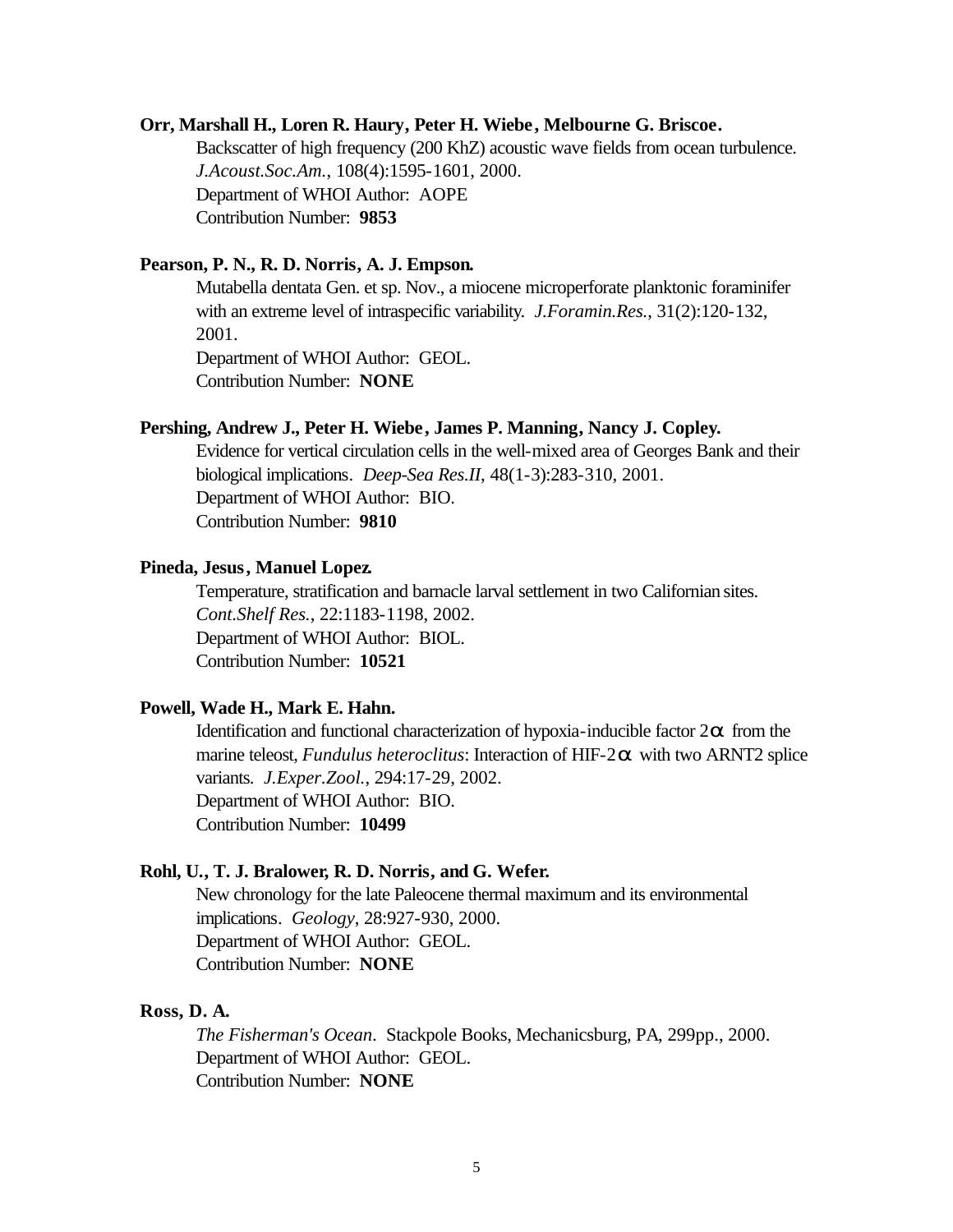#### **Orr, Marshall H., Loren R. Haury, Peter H. Wiebe, Melbourne G. Briscoe.**

Backscatter of high frequency (200 KhZ) acoustic wave fields from ocean turbulence. *J.Acoust.Soc.Am.*, 108(4):1595-1601, 2000. Department of WHOI Author: AOPE Contribution Number: **9853**

#### **Pearson, P. N., R. D. Norris, A. J. Empson.**

Mutabella dentata Gen. et sp. Nov., a miocene microperforate planktonic foraminifer with an extreme level of intraspecific variability. *J.Foramin.Res.*, 31(2):120-132, 2001.

Department of WHOI Author: GEOL. Contribution Number: **NONE**

#### **Pershing, Andrew J., Peter H. Wiebe, James P. Manning, Nancy J. Copley.**

Evidence for vertical circulation cells in the well-mixed area of Georges Bank and their biological implications. *Deep-Sea Res.II*, 48(1-3):283-310, 2001. Department of WHOI Author: BIO. Contribution Number: **9810**

#### **Pineda, Jesus, Manuel Lopez.**

Temperature, stratification and barnacle larval settlement in two Californian sites. *Cont.Shelf Res.*, 22:1183-1198, 2002. Department of WHOI Author: BIOL. Contribution Number: **10521**

#### **Powell, Wade H., Mark E. Hahn.**

Identification and functional characterization of hypoxia-inducible factor 2*a* from the marine teleost, *Fundulus heteroclitus*: Interaction of HIF-2*a* with two ARNT2 splice variants. *J.Exper.Zool.*, 294:17-29, 2002. Department of WHOI Author: BIO. Contribution Number: **10499**

#### **Rohl, U., T. J. Bralower, R. D. Norris, and G. Wefer.**

New chronology for the late Paleocene thermal maximum and its environmental implications. *Geology*, 28:927-930, 2000. Department of WHOI Author: GEOL. Contribution Number: **NONE**

#### **Ross, D. A.**

*The Fisherman's Ocean*. Stackpole Books, Mechanicsburg, PA, 299pp., 2000. Department of WHOI Author: GEOL. Contribution Number: **NONE**